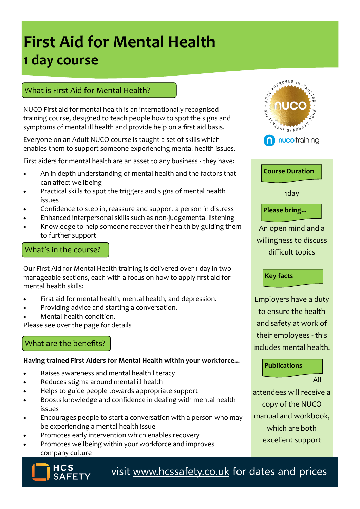# **First Aid for Mental Health 1 day course**

### What is First Aid for Mental Health?

NUCO First aid for mental health is an internationally recognised training course, designed to teach people how to spot the signs and symptoms of mental ill health and provide help on a first aid basis.

Everyone on an Adult NUCO course is taught a set of skills which enables them to support someone experiencing mental health issues.

First aiders for mental health are an asset to any business - they have:

- An in depth understanding of mental health and the factors that can affect wellbeing
- Practical skills to spot the triggers and signs of mental health issues
- Confidence to step in, reassure and support a person in distress
- Enhanced interpersonal skills such as non-judgemental listening
- Knowledge to help someone recover their health by guiding them to further support

#### What's in the course?

Our First Aid for Mental Health training is delivered over 1 day in two manageable sections, each with a focus on how to apply first aid for mental health skills:

- First aid for mental health, mental health, and depression.
- Providing advice and starting a conversation.
- Mental health condition.

Please see over the page for details

## What are the benefits?

#### **Having trained First Aiders for Mental Health within your workforce...**

- Raises awareness and mental health literacy
- Reduces stigma around mental ill health
- Helps to guide people towards appropriate support
- Boosts knowledge and confidence in dealing with mental health issues
- Encourages people to start a conversation with a person who may be experiencing a mental health issue
- Promotes early intervention which enables recovery
- Promotes wellbeing within your workforce and improves company culture



visit [www.hcssafety.co.uk](http://www.hcssafety.co.uk/training) for dates and prices





1day

### **Please bring...**

An open mind and a willingness to discuss difficult topics

**Key facts**

Employers have a duty to ensure the health and safety at work of their employees - this includes mental health.

#### **Publications**

All

attendees will receive a copy of the NUCO manual and workbook, which are both excellent support